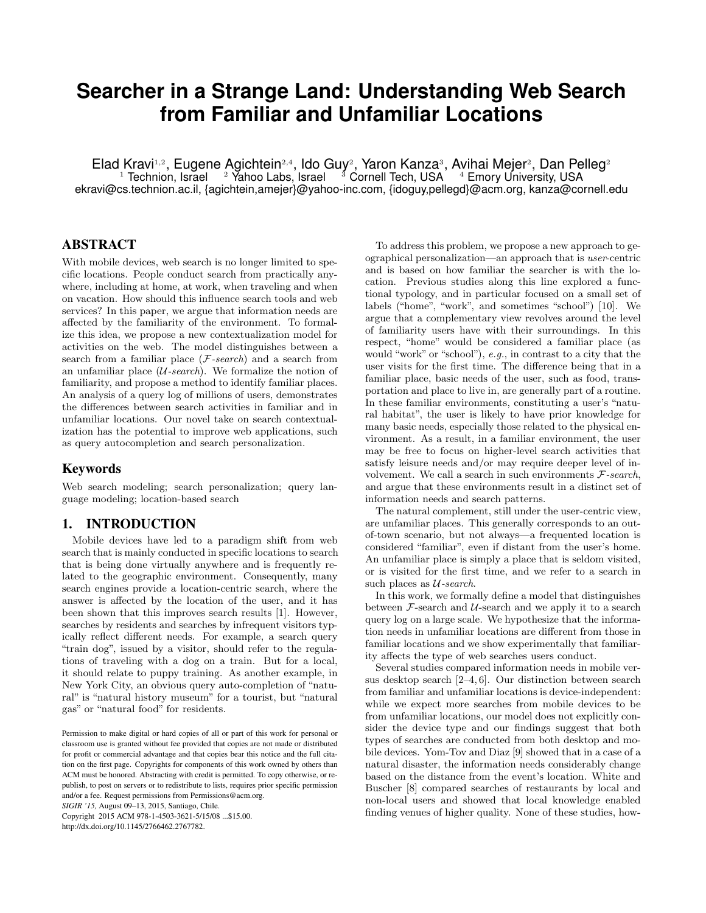# **Searcher in a Strange Land: Understanding Web Search from Familiar and Unfamiliar Locations**

Elad Kravi<sup>1,2</sup>, Eugene Agichtein<sup>2,4</sup>, Ido Guy<sup>2</sup>, Yaron Kanza<sup>3</sup>, Avihai Mejer<sup>2</sup>, Dan Pelleg<sup>2</sup>

 $^1$  Technion, Israel  $^{-2}$  Yahoo Labs, Israel  $^{-3}$  Cornell Tech, USA  $^{-4}$  Emory University, USA ekravi@cs.technion.ac.il, {agichtein,amejer}@yahoo-inc.com, {idoguy,pellegd}@acm.org, kanza@cornell.edu

# ABSTRACT

With mobile devices, web search is no longer limited to specific locations. People conduct search from practically anywhere, including at home, at work, when traveling and when on vacation. How should this influence search tools and web services? In this paper, we argue that information needs are affected by the familiarity of the environment. To formalize this idea, we propose a new contextualization model for activities on the web. The model distinguishes between a search from a familiar place  $(F\text{-}search)$  and a search from an unfamiliar place  $(U\text{-}search)$ . We formalize the notion of familiarity, and propose a method to identify familiar places. An analysis of a query log of millions of users, demonstrates the differences between search activities in familiar and in unfamiliar locations. Our novel take on search contextualization has the potential to improve web applications, such as query autocompletion and search personalization.

### Keywords

Web search modeling; search personalization; query language modeling; location-based search

### 1. INTRODUCTION

Mobile devices have led to a paradigm shift from web search that is mainly conducted in specific locations to search that is being done virtually anywhere and is frequently related to the geographic environment. Consequently, many search engines provide a location-centric search, where the answer is affected by the location of the user, and it has been shown that this improves search results [\[1\]](#page-3-0). However, searches by residents and searches by infrequent visitors typically reflect different needs. For example, a search query "train dog", issued by a visitor, should refer to the regulations of traveling with a dog on a train. But for a local, it should relate to puppy training. As another example, in New York City, an obvious query auto-completion of "natural" is "natural history museum" for a tourist, but "natural gas" or "natural food" for residents.

*SIGIR '15,* August 09–13, 2015, Santiago, Chile.

Copyright 2015 ACM 978-1-4503-3621-5/15/08 ...\$15.00. http://dx.doi.org/10.1145/2766462.2767782.

To address this problem, we propose a new approach to geographical personalization—an approach that is user-centric and is based on how familiar the searcher is with the location. Previous studies along this line explored a functional typology, and in particular focused on a small set of labels ("home", "work", and sometimes "school") [\[10\]](#page-3-1). We argue that a complementary view revolves around the level of familiarity users have with their surroundings. In this respect, "home" would be considered a familiar place (as would "work" or "school"), e.g., in contrast to a city that the user visits for the first time. The difference being that in a familiar place, basic needs of the user, such as food, transportation and place to live in, are generally part of a routine. In these familiar environments, constituting a user's "natural habitat", the user is likely to have prior knowledge for many basic needs, especially those related to the physical environment. As a result, in a familiar environment, the user may be free to focus on higher-level search activities that satisfy leisure needs and/or may require deeper level of involvement. We call a search in such environments  $F\text{-}search$ , and argue that these environments result in a distinct set of information needs and search patterns.

The natural complement, still under the user-centric view, are unfamiliar places. This generally corresponds to an outof-town scenario, but not always—a frequented location is considered "familiar", even if distant from the user's home. An unfamiliar place is simply a place that is seldom visited, or is visited for the first time, and we refer to a search in such places as  $U$ -search.

In this work, we formally define a model that distinguishes between  $F$ -search and  $U$ -search and we apply it to a search query log on a large scale. We hypothesize that the information needs in unfamiliar locations are different from those in familiar locations and we show experimentally that familiarity affects the type of web searches users conduct.

Several studies compared information needs in mobile versus desktop search [\[2](#page-3-2)[–4,](#page-3-3) [6\]](#page-3-4). Our distinction between search from familiar and unfamiliar locations is device-independent: while we expect more searches from mobile devices to be from unfamiliar locations, our model does not explicitly consider the device type and our findings suggest that both types of searches are conducted from both desktop and mobile devices. Yom-Tov and Diaz [\[9\]](#page-3-5) showed that in a case of a natural disaster, the information needs considerably change based on the distance from the event's location. White and Buscher [\[8\]](#page-3-6) compared searches of restaurants by local and non-local users and showed that local knowledge enabled finding venues of higher quality. None of these studies, how-

Permission to make digital or hard copies of all or part of this work for personal or classroom use is granted without fee provided that copies are not made or distributed for profit or commercial advantage and that copies bear this notice and the full citation on the first page. Copyrights for components of this work owned by others than ACM must be honored. Abstracting with credit is permitted. To copy otherwise, or republish, to post on servers or to redistribute to lists, requires prior specific permission and/or a fee. Request permissions from Permissions@acm.org.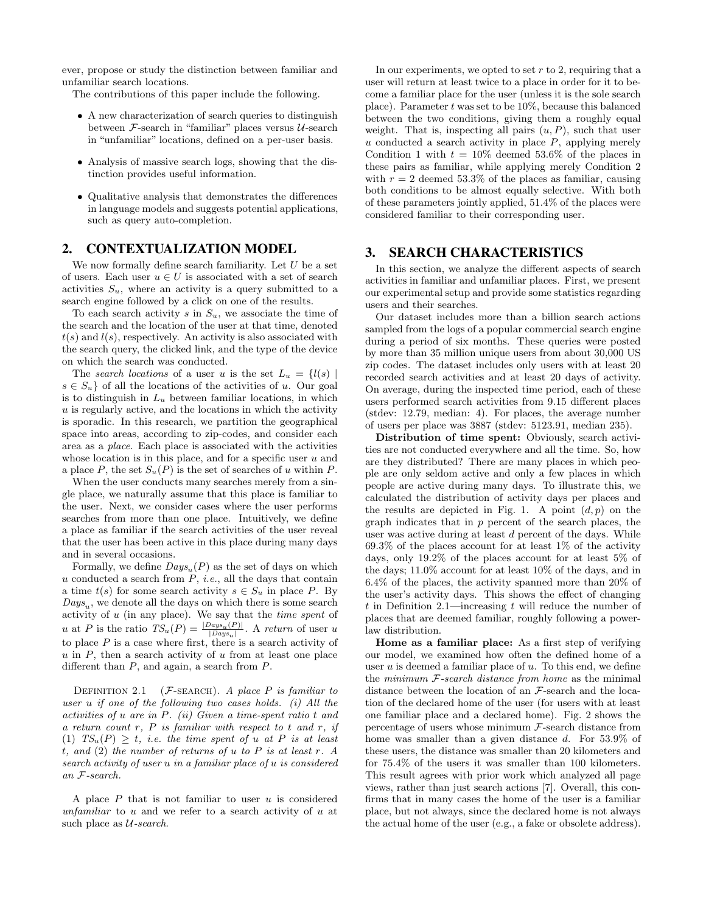ever, propose or study the distinction between familiar and unfamiliar search locations.

The contributions of this paper include the following.

- A new characterization of search queries to distinguish between  $F$ -search in "familiar" places versus  $U$ -search in "unfamiliar" locations, defined on a per-user basis.
- Analysis of massive search logs, showing that the distinction provides useful information.
- Qualitative analysis that demonstrates the differences in language models and suggests potential applications, such as query auto-completion.

#### 2. CONTEXTUALIZATION MODEL

We now formally define search familiarity. Let  $U$  be a set of users. Each user  $u \in U$  is associated with a set of search activities  $S_u$ , where an activity is a query submitted to a search engine followed by a click on one of the results.

To each search activity s in  $S_u$ , we associate the time of the search and the location of the user at that time, denoted  $t(s)$  and  $l(s)$ , respectively. An activity is also associated with the search query, the clicked link, and the type of the device on which the search was conducted.

The search locations of a user u is the set  $L_u = \{l(s) | s \}$  $s \in S_u$  of all the locations of the activities of u. Our goal is to distinguish in  $L<sub>u</sub>$  between familiar locations, in which  $u$  is regularly active, and the locations in which the activity is sporadic. In this research, we partition the geographical space into areas, according to zip-codes, and consider each area as a place. Each place is associated with the activities whose location is in this place, and for a specific user  $u$  and a place P, the set  $S_u(P)$  is the set of searches of u within P.

When the user conducts many searches merely from a single place, we naturally assume that this place is familiar to the user. Next, we consider cases where the user performs searches from more than one place. Intuitively, we define a place as familiar if the search activities of the user reveal that the user has been active in this place during many days and in several occasions.

Formally, we define  $Days_u(P)$  as the set of days on which u conducted a search from  $P$ , *i.e.*, all the days that contain a time  $t(s)$  for some search activity  $s \in S_u$  in place P. By  $Days_u$ , we denote all the days on which there is some search activity of u (in any place). We say that the time spent of u at P is the ratio  $TS_u(P) = \frac{|Days_u(P)|}{|Days_u|}$ . A return of user u to place  $P$  is a case where first, there is a search activity of  $u$  in  $P$ , then a search activity of  $u$  from at least one place different than  $P$ , and again, a search from  $P$ .

<span id="page-1-0"></span>DEFINITION 2.1 ( $F$ -SEARCH). A place P is familiar to user  $u$  if one of the following two cases holds. (i) All the activities of u are in P. (ii) Given a time-spent ratio t and a return count  $r$ ,  $P$  is familiar with respect to t and  $r$ , if (1)  $TS_u(P) > t$ , i.e. the time spent of u at P is at least t, and  $(2)$  the number of returns of u to P is at least r. A search activity of user u in a familiar place of u is considered an F-search.

A place  $P$  that is not familiar to user  $u$  is considered unfamiliar to  $u$  and we refer to a search activity of  $u$  at such place as  $U$ -search.

In our experiments, we opted to set  $r$  to 2, requiring that a user will return at least twice to a place in order for it to become a familiar place for the user (unless it is the sole search place). Parameter  $t$  was set to be 10%, because this balanced between the two conditions, giving them a roughly equal weight. That is, inspecting all pairs  $(u, P)$ , such that user u conducted a search activity in place  $P$ , applying merely Condition 1 with  $t = 10\%$  deemed 53.6% of the places in these pairs as familiar, while applying merely Condition 2 with  $r = 2$  deemed 53.3% of the places as familiar, causing both conditions to be almost equally selective. With both of these parameters jointly applied, 51.4% of the places were considered familiar to their corresponding user.

## 3. SEARCH CHARACTERISTICS

In this section, we analyze the different aspects of search activities in familiar and unfamiliar places. First, we present our experimental setup and provide some statistics regarding users and their searches.

Our dataset includes more than a billion search actions sampled from the logs of a popular commercial search engine during a period of six months. These queries were posted by more than 35 million unique users from about 30,000 US zip codes. The dataset includes only users with at least 20 recorded search activities and at least 20 days of activity. On average, during the inspected time period, each of these users performed search activities from 9.15 different places (stdev: 12.79, median: 4). For places, the average number of users per place was 3887 (stdev: 5123.91, median 235).

Distribution of time spent: Obviously, search activities are not conducted everywhere and all the time. So, how are they distributed? There are many places in which people are only seldom active and only a few places in which people are active during many days. To illustrate this, we calculated the distribution of activity days per places and the results are depicted in Fig. [1.](#page-2-0) A point  $(d, p)$  on the graph indicates that in  $p$  percent of the search places, the user was active during at least d percent of the days. While  $69.3\%$  of the places account for at least  $1\%$  of the activity days, only 19.2% of the places account for at least 5% of the days; 11.0% account for at least 10% of the days, and in 6.4% of the places, the activity spanned more than 20% of the user's activity days. This shows the effect of changing t in Definition [2.1—](#page-1-0)increasing t will reduce the number of places that are deemed familiar, roughly following a powerlaw distribution.

Home as a familiar place: As a first step of verifying our model, we examined how often the defined home of a user  $u$  is deemed a familiar place of  $u$ . To this end, we define the minimum  $F$ -search distance from home as the minimal distance between the location of an F-search and the location of the declared home of the user (for users with at least one familiar place and a declared home). Fig. [2](#page-2-1) shows the percentage of users whose minimum  $F$ -search distance from home was smaller than a given distance d. For 53.9% of these users, the distance was smaller than 20 kilometers and for 75.4% of the users it was smaller than 100 kilometers. This result agrees with prior work which analyzed all page views, rather than just search actions [\[7\]](#page-3-7). Overall, this confirms that in many cases the home of the user is a familiar place, but not always, since the declared home is not always the actual home of the user (e.g., a fake or obsolete address).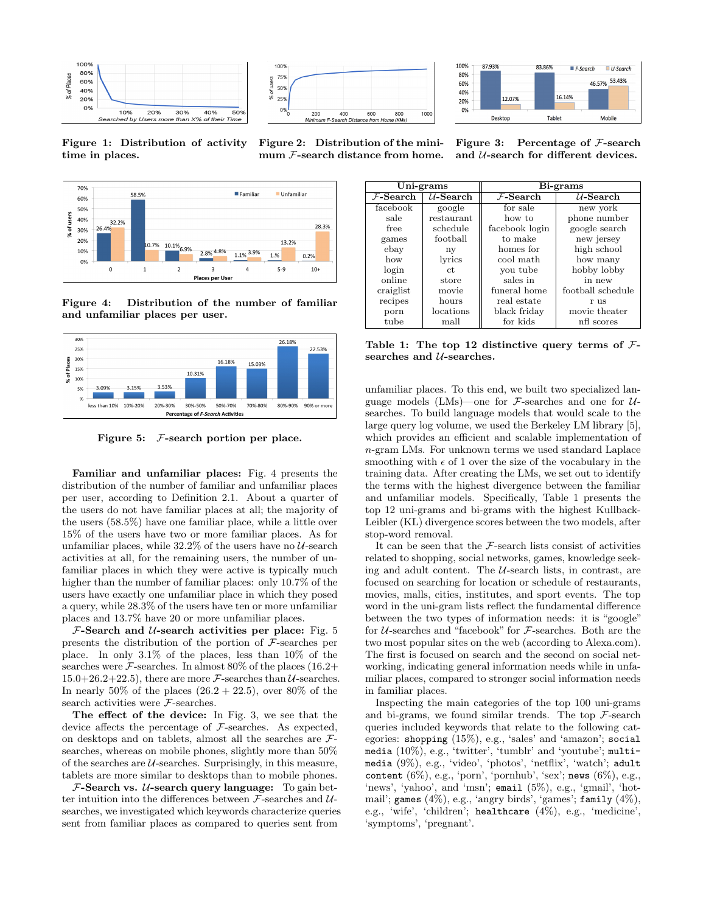





<span id="page-2-0"></span>Figure 1: Distribution of activity time in places.

<span id="page-2-1"></span>Figure 2: Distribution of the minimum F-search distance from home.



<span id="page-2-2"></span>Figure 4: Distribution of the number of familiar and unfamiliar places per user.



<span id="page-2-3"></span>Figure 5:  $F$ -search portion per place.

Familiar and unfamiliar places: Fig. [4](#page-2-2) presents the distribution of the number of familiar and unfamiliar places per user, according to Definition [2.1.](#page-1-0) About a quarter of the users do not have familiar places at all; the majority of the users (58.5%) have one familiar place, while a little over 15% of the users have two or more familiar places. As for unfamiliar places, while  $32.2\%$  of the users have no  $U$ -search activities at all, for the remaining users, the number of unfamiliar places in which they were active is typically much higher than the number of familiar places: only 10.7% of the users have exactly one unfamiliar place in which they posed a query, while 28.3% of the users have ten or more unfamiliar places and 13.7% have 20 or more unfamiliar places.

 $F$ -Search and *U*-search activities per place: Fig. [5](#page-2-3) presents the distribution of the portion of  $\mathcal{F}\text{-searches per}$ place. In only 3.1% of the places, less than 10% of the searches were  $\mathcal{F}$ -searches. In almost 80% of the places (16.2+ 15.0+26.2+22.5), there are more  $\mathcal{F}$ -searches than  $\mathcal{U}$ -searches. In nearly 50% of the places  $(26.2 + 22.5)$ , over 80% of the search activities were F-searches.

The effect of the device: In Fig. [3,](#page-2-4) we see that the device affects the percentage of  $\mathcal{F}\text{-searches}$ . As expected, on desktops and on tablets, almost all the searches are  $\mathcal{F}$ searches, whereas on mobile phones, slightly more than 50% of the searches are  $U$ -searches. Surprisingly, in this measure, tablets are more similar to desktops than to mobile phones.

 $\mathcal{F}\text{-}\mathbf{Search}\ \mathbf{vs.}\ \mathcal{U}\text{-}\mathbf{search}\ \mathbf{query}\ \mathbf{language:}\ \ \text{To gain}\ \mathbf{bet}\text{-}$ ter intuition into the differences between  $\mathcal{F}\text{-searches}$  and  $\mathcal{U}\text{-}$ searches, we investigated which keywords characterize queries sent from familiar places as compared to queries sent from

<span id="page-2-4"></span>Figure 3: Percentage of  $\mathcal{F}\text{-search}$ and  $U$ -search for different devices.

| Uni-grams   |             | Bi-grams       |                   |
|-------------|-------------|----------------|-------------------|
| $F$ -Search | $U$ -Search | $F$ -Search    | $U$ -Search       |
| facebook    | google      | for sale       | new york          |
| sale        | restaurant  | how to         | phone number      |
| free        | schedule    | facebook login | google search     |
| games       | football    | to make        | new jersey        |
| ebay        | ny          | homes for      | high school       |
| how         | lyrics      | cool math      | how many          |
| login       | ct.         | you tube       | hobby lobby       |
| online      | store       | sales in       | in new            |
| craiglist   | movie       | funeral home   | football schedule |
| recipes     | hours       | real estate    | r 118             |
| porn        | locations   | black friday   | movie theater     |
| tube        | mall        | for kids       | nfl scores        |

<span id="page-2-5"></span>Table 1: The top 12 distinctive query terms of  $\mathcal{F}$ searches and  $U$ -searches.

unfamiliar places. To this end, we built two specialized language models (LMs)—one for  $\mathcal{F}$ -searches and one for  $\mathcal{U}$ searches. To build language models that would scale to the large query log volume, we used the Berkeley LM library [\[5\]](#page-3-8), which provides an efficient and scalable implementation of n-gram LMs. For unknown terms we used standard Laplace smoothing with  $\epsilon$  of 1 over the size of the vocabulary in the training data. After creating the LMs, we set out to identify the terms with the highest divergence between the familiar and unfamiliar models. Specifically, Table [1](#page-2-5) presents the top 12 uni-grams and bi-grams with the highest Kullback-Leibler (KL) divergence scores between the two models, after stop-word removal.

It can be seen that the  $F$ -search lists consist of activities related to shopping, social networks, games, knowledge seeking and adult content. The  $\mathcal U\text{-}search$  lists, in contrast, are focused on searching for location or schedule of restaurants, movies, malls, cities, institutes, and sport events. The top word in the uni-gram lists reflect the fundamental difference between the two types of information needs: it is "google" for U-searches and "facebook" for F-searches. Both are the two most popular sites on the web (according to Alexa.com). The first is focused on search and the second on social networking, indicating general information needs while in unfamiliar places, compared to stronger social information needs in familiar places.

Inspecting the main categories of the top 100 uni-grams and bi-grams, we found similar trends. The top  $\mathcal{F}\text{-search}$ queries included keywords that relate to the following categories: shopping (15%), e.g., 'sales' and 'amazon'; social media (10%), e.g., 'twitter', 'tumblr' and 'youtube'; multimedia (9%), e.g., 'video', 'photos', 'netflix', 'watch'; adult content  $(6\%)$ , e.g., 'porn', 'pornhub', 'sex'; news  $(6\%)$ , e.g., 'news', 'yahoo', and 'msn'; email (5%), e.g., 'gmail', 'hotmail'; games  $(4\%)$ , e.g., 'angry birds', 'games'; family  $(4\%)$ , e.g., 'wife', 'children'; healthcare (4%), e.g., 'medicine', 'symptoms', 'pregnant'.